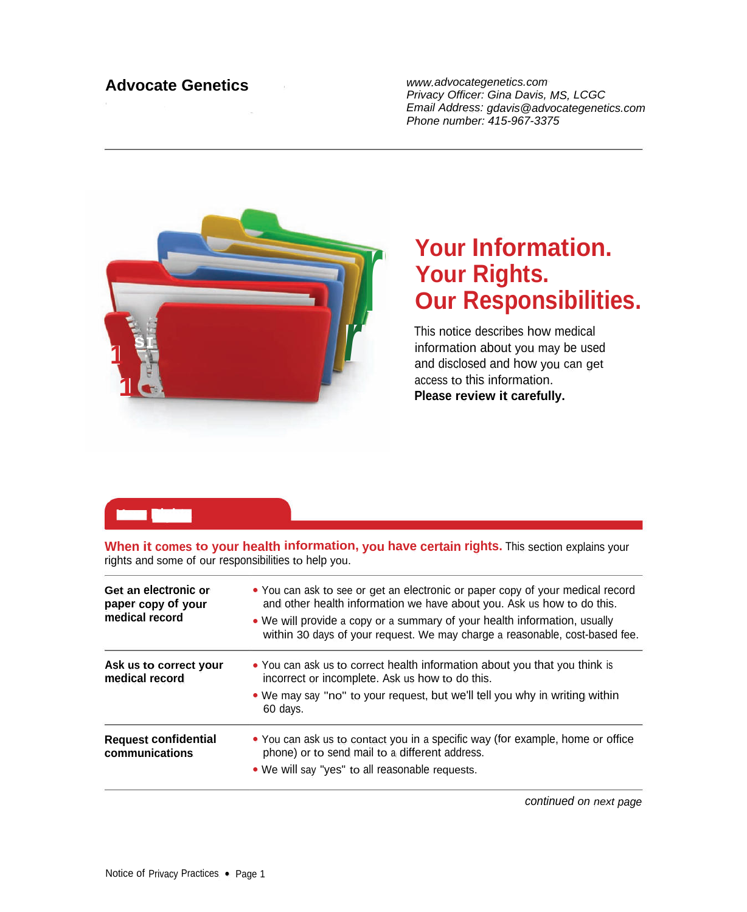#### **Advocate Genetics**

*www.advocategenetics.com Privacy Officer: Gina Davis, MS, LCGC Email Address: gdavis@advocategenetics.com Phone number: 415-967-3375*



# Your **Information.**<br>Your Rights. *<u>Our Responsibilities.</u>*

This notice describes how medical information about you may be used and disclosed and how you can get access to this information. **Please review it carefully.**

## **Your Rights**

**When it comes to your health information, you have certain rights.** This section explains your rights and some of our responsibilities to help you.

| Get an electronic or<br>paper copy of your<br>medical record | • You can ask to see or get an electronic or paper copy of your medical record<br>and other health information we have about you. Ask us how to do this.<br>• We will provide a copy or a summary of your health information, usually<br>within 30 days of your request. We may charge a reasonable, cost-based fee. |
|--------------------------------------------------------------|----------------------------------------------------------------------------------------------------------------------------------------------------------------------------------------------------------------------------------------------------------------------------------------------------------------------|
| Ask us to correct your<br>medical record                     | • You can ask us to correct health information about you that you think is<br>incorrect or incomplete. Ask us how to do this.<br>• We may say "no" to your request, but we'll tell you why in writing within<br>60 days.                                                                                             |
| <b>Request confidential</b><br>communications                | • You can ask us to contact you in a specific way (for example, home or office<br>phone) or to send mail to a different address.<br>. We will say "yes" to all reasonable requests.                                                                                                                                  |

*continued on next page*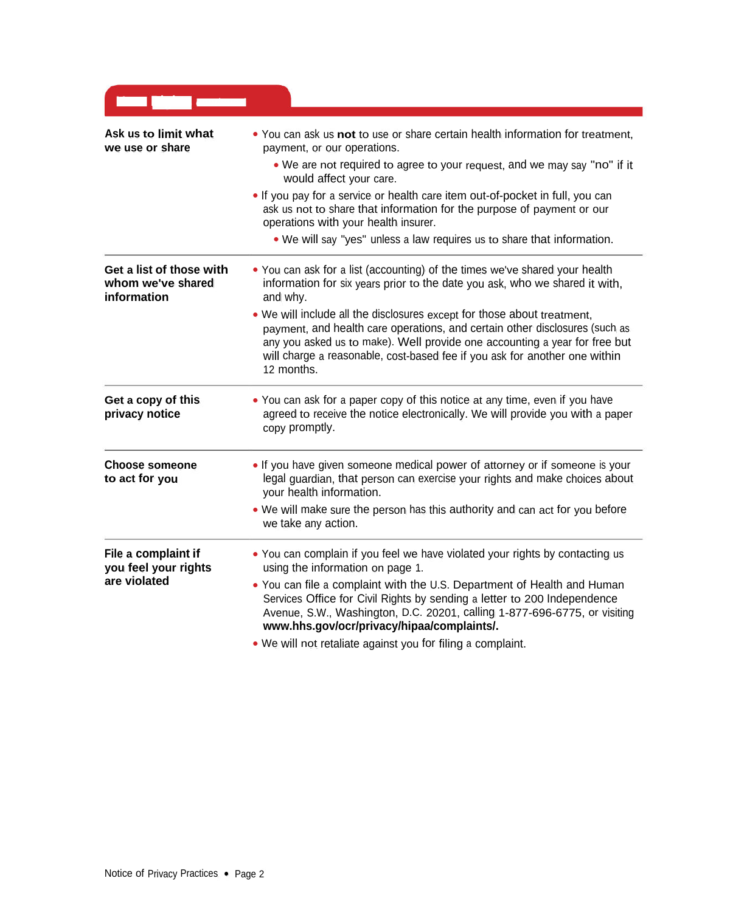| Ask us to limit what<br>we use or share                      | . You can ask us not to use or share certain health information for treatment,<br>payment, or our operations.<br>. We are not required to agree to your request, and we may say "no" if it<br>would affect your care.<br>. If you pay for a service or health care item out-of-pocket in full, you can<br>ask us not to share that information for the purpose of payment or our<br>operations with your health insurer.<br>. We will say "yes" unless a law requires us to share that information. |
|--------------------------------------------------------------|-----------------------------------------------------------------------------------------------------------------------------------------------------------------------------------------------------------------------------------------------------------------------------------------------------------------------------------------------------------------------------------------------------------------------------------------------------------------------------------------------------|
| Get a list of those with<br>whom we've shared<br>information | • You can ask for a list (accounting) of the times we've shared your health<br>information for six years prior to the date you ask, who we shared it with,<br>and why.<br>• We will include all the disclosures except for those about treatment,<br>payment, and health care operations, and certain other disclosures (such as<br>any you asked us to make). Well provide one accounting a year for free but<br>will charge a reasonable, cost-based fee if you ask for another one within        |
|                                                              | 12 months.                                                                                                                                                                                                                                                                                                                                                                                                                                                                                          |
| Get a copy of this<br>privacy notice                         | • You can ask for a paper copy of this notice at any time, even if you have<br>agreed to receive the notice electronically. We will provide you with a paper<br>copy promptly.                                                                                                                                                                                                                                                                                                                      |
| <b>Choose someone</b><br>to act for you                      | . If you have given someone medical power of attorney or if someone is your<br>legal guardian, that person can exercise your rights and make choices about<br>your health information.<br>. We will make sure the person has this authority and can act for you before<br>we take any action.                                                                                                                                                                                                       |
| File a complaint if<br>you feel your rights<br>are violated  | . You can complain if you feel we have violated your rights by contacting us<br>using the information on page 1.<br>• You can file a complaint with the U.S. Department of Health and Human<br>Services Office for Civil Rights by sending a letter to 200 Independence<br>Avenue, S.W., Washington, D.C. 20201, calling 1-877-696-6775, or visiting<br>www.hhs.gov/ocr/privacy/hipaa/complaints/.<br>. We will not retaliate against you for filing a complaint.                                   |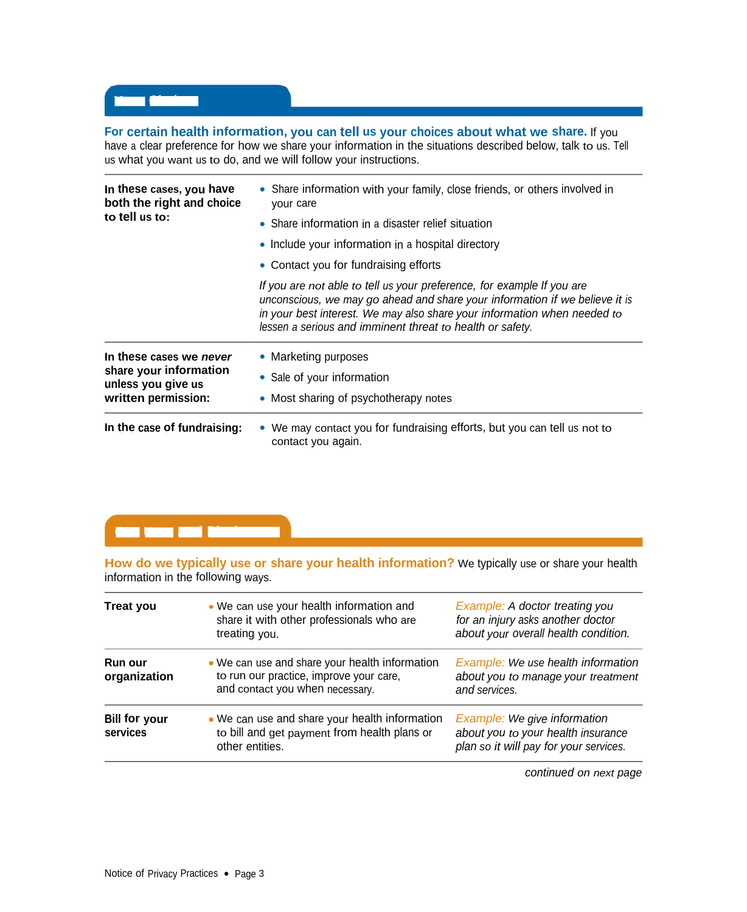**For certain health information, you can tell us your choices about what we share.** If you have a clear preference for how we share your information in the situations described below, talk to us. Tell

us what you want us to do, and we will follow your instructions.

| In these cases, you have<br>both the right and choice<br>to tell us to:                        | • Share information with your family, close friends, or others involved in<br>your care                                                                                                                                                                                                        |  |
|------------------------------------------------------------------------------------------------|------------------------------------------------------------------------------------------------------------------------------------------------------------------------------------------------------------------------------------------------------------------------------------------------|--|
|                                                                                                | • Share information in a disaster relief situation                                                                                                                                                                                                                                             |  |
|                                                                                                | • Include your information in a hospital directory                                                                                                                                                                                                                                             |  |
|                                                                                                | • Contact you for fundraising efforts                                                                                                                                                                                                                                                          |  |
|                                                                                                | If you are not able to tell us your preference, for example If you are<br>unconscious, we may go ahead and share your information if we believe it is<br>in your best interest. We may also share your information when needed to<br>lessen a serious and imminent threat to health or safety. |  |
| In these cases we never<br>share your information<br>unless you give us<br>written permission: | • Marketing purposes                                                                                                                                                                                                                                                                           |  |
|                                                                                                | • Sale of your information                                                                                                                                                                                                                                                                     |  |
|                                                                                                | • Most sharing of psychotherapy notes                                                                                                                                                                                                                                                          |  |
| In the case of fundraising:                                                                    | • We may contact you for fundraising efforts, but you can tell us not to<br>contact you again.                                                                                                                                                                                                 |  |

### **Our Uses and Disclosures**

**Your Choices**

**How do we typically use or share your health information?** We typically use or share your health information in the following ways.

| <b>Treat you</b>                 | • We can use your health information and<br>share it with other professionals who are<br>treating you.                       | Example: A doctor treating you<br>for an injury asks another doctor<br>about your overall health condition.  |
|----------------------------------|------------------------------------------------------------------------------------------------------------------------------|--------------------------------------------------------------------------------------------------------------|
| <b>Run our</b><br>organization   | • We can use and share your health information<br>to run our practice, improve your care,<br>and contact you when necessary. | Example: We use health information<br>about you to manage your treatment<br>and services.                    |
| <b>Bill for your</b><br>services | • We can use and share your health information<br>to bill and get payment from health plans or<br>other entities.            | Example: We give information<br>about you to your health insurance<br>plan so it will pay for your services. |

*continued on next page*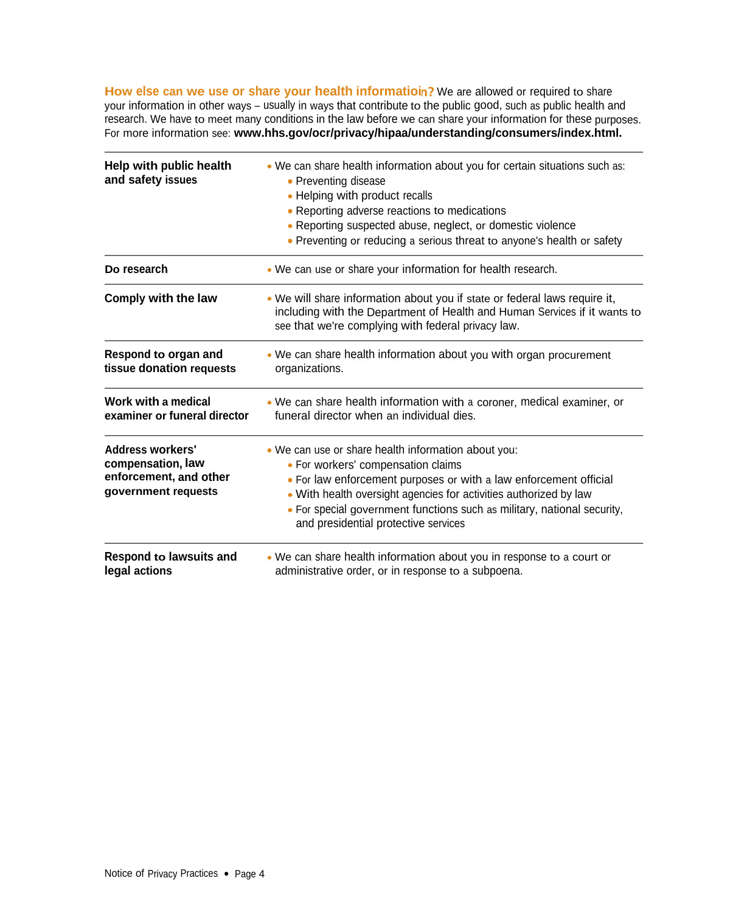**How else can we use or share your health informatioi** We are allowed or required to share your information in other ways - usually in ways that contribute to the public good, such as public health and research. We have to meet many conditions in the law before we can share your information for these purposes. For more information see: **www.hhs.gov/ocr/privacy/hipaa/understanding/consumers/index.html.**

| Help with public health<br>and safety issues                                           | . We can share health information about you for certain situations such as:<br>• Preventing disease<br>• Helping with product recalls<br>• Reporting adverse reactions to medications<br>• Reporting suspected abuse, neglect, or domestic violence<br>• Preventing or reducing a serious threat to anyone's health or safety                          |  |  |
|----------------------------------------------------------------------------------------|--------------------------------------------------------------------------------------------------------------------------------------------------------------------------------------------------------------------------------------------------------------------------------------------------------------------------------------------------------|--|--|
| Do research                                                                            | . We can use or share your information for health research.                                                                                                                                                                                                                                                                                            |  |  |
| Comply with the law                                                                    | . We will share information about you if state or federal laws require it,<br>including with the Department of Health and Human Services if it wants to<br>see that we're complying with federal privacy law.                                                                                                                                          |  |  |
| Respond to organ and<br>tissue donation requests                                       | • We can share health information about you with organ procurement<br>organizations.                                                                                                                                                                                                                                                                   |  |  |
| Work with a medical<br>examiner or funeral director                                    | . We can share health information with a coroner, medical examiner, or<br>funeral director when an individual dies.                                                                                                                                                                                                                                    |  |  |
| Address workers'<br>compensation, law<br>enforcement, and other<br>government requests | . We can use or share health information about you:<br>• For workers' compensation claims<br>• For law enforcement purposes or with a law enforcement official<br>. With health oversight agencies for activities authorized by law<br>• For special government functions such as military, national security,<br>and presidential protective services |  |  |
| <b>Respond to lawsuits and</b><br>legal actions                                        | . We can share health information about you in response to a court or<br>administrative order, or in response to a subpoena.                                                                                                                                                                                                                           |  |  |